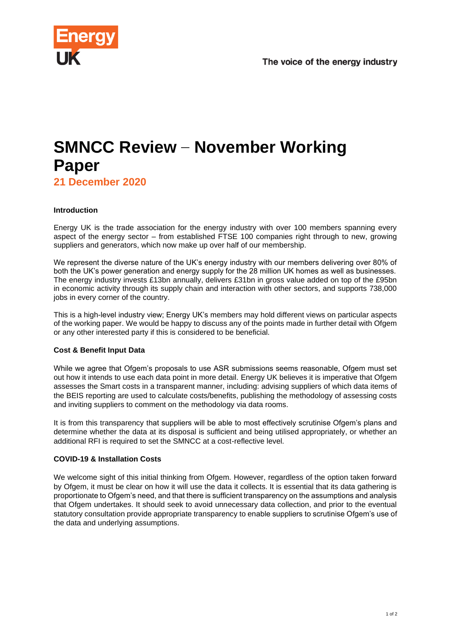

# **SMNCC Review – November Working Paper**

**21 December 2020**

## **Introduction**

Energy UK is the trade association for the energy industry with over 100 members spanning every aspect of the energy sector – from established FTSE 100 companies right through to new, growing suppliers and generators, which now make up over half of our membership.

We represent the diverse nature of the UK's energy industry with our members delivering over 80% of both the UK's power generation and energy supply for the 28 million UK homes as well as businesses. The energy industry invests £13bn annually, delivers £31bn in gross value added on top of the £95bn in economic activity through its supply chain and interaction with other sectors, and supports 738,000 jobs in every corner of the country.

This is a high-level industry view; Energy UK's members may hold different views on particular aspects of the working paper. We would be happy to discuss any of the points made in further detail with Ofgem or any other interested party if this is considered to be beneficial.

## **Cost & Benefit Input Data**

While we agree that Ofgem's proposals to use ASR submissions seems reasonable, Ofgem must set out how it intends to use each data point in more detail. Energy UK believes it is imperative that Ofgem assesses the Smart costs in a transparent manner, including: advising suppliers of which data items of the BEIS reporting are used to calculate costs/benefits, publishing the methodology of assessing costs and inviting suppliers to comment on the methodology via data rooms.

It is from this transparency that suppliers will be able to most effectively scrutinise Ofgem's plans and determine whether the data at its disposal is sufficient and being utilised appropriately, or whether an additional RFI is required to set the SMNCC at a cost-reflective level.

## **COVID-19 & Installation Costs**

We welcome sight of this initial thinking from Ofgem. However, regardless of the option taken forward by Ofgem, it must be clear on how it will use the data it collects. It is essential that its data gathering is proportionate to Ofgem's need, and that there is sufficient transparency on the assumptions and analysis that Ofgem undertakes. It should seek to avoid unnecessary data collection, and prior to the eventual statutory consultation provide appropriate transparency to enable suppliers to scrutinise Ofgem's use of the data and underlying assumptions.